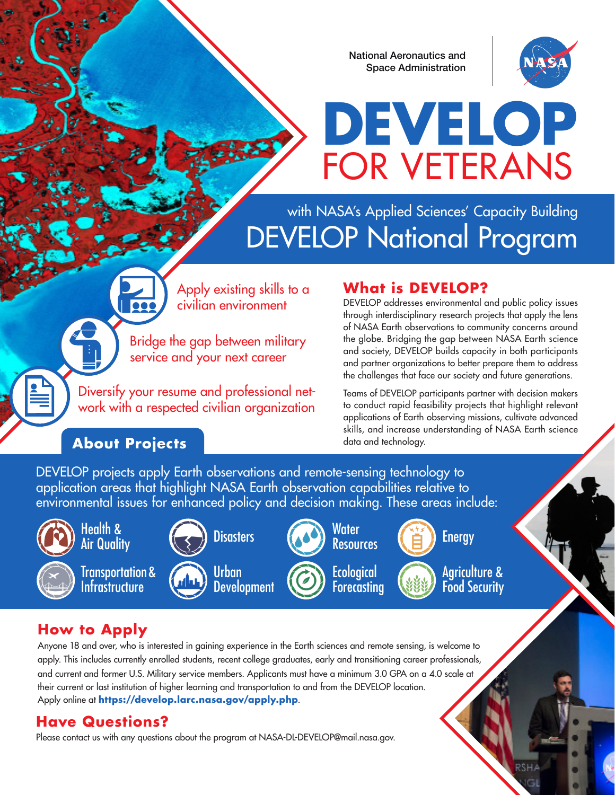National Aeronautics and Space Administration



# **DEVELOP** FOR VETERANS

### with NASA's Applied Sciences' Capacity Building DEVELOP National Program

Apply existing skills to a civilian environment

Bridge the gap between military service and your next career

Diversify your resume and professional network with a respected civilian organization

#### **About Projects** data and technology.

 $\overline{\bullet}\bullet$ 

#### **What is DEVELOP?**

DEVELOP addresses environmental and public policy issues through interdisciplinary research projects that apply the lens of NASA Earth observations to community concerns around the globe. Bridging the gap between NASA Earth science and society, DEVELOP builds capacity in both participants and partner organizations to better prepare them to address the challenges that face our society and future generations.

Teams of DEVELOP participants partner with decision makers to conduct rapid feasibility projects that highlight relevant applications of Earth observing missions, cultivate advanced skills, and increase understanding of NASA Earth science

DEVELOP projects apply Earth observations and remote-sensing technology to application areas that highlight NASA Earth observation capabilities relative to environmental issues for enhanced policy and decision making. These areas include:



#### Health & Air Quality



Transportation & **Infrastructure** 



Urban **Development** 

**Disasters** 



**Ecological Forecasting** 





Agriculture & Food Security

RSHA

#### **How to Apply**

Anyone 18 and over, who is interested in gaining experience in the Earth sciences and remote sensing, is welcome to apply. This includes currently enrolled students, recent college graduates, early and transitioning career professionals, and current and former U.S. Military service members. Applicants must have a minimum 3.0 GPA on a 4.0 scale at their current or last institution of higher learning and transportation to and from the DEVELOP location. Apply online at **https://develop.larc.nasa.gov/apply.php**.

#### **Have Questions?**

Please contact us with any questions about the program at NASA-DL-DEVELOP@mail.nasa.gov.